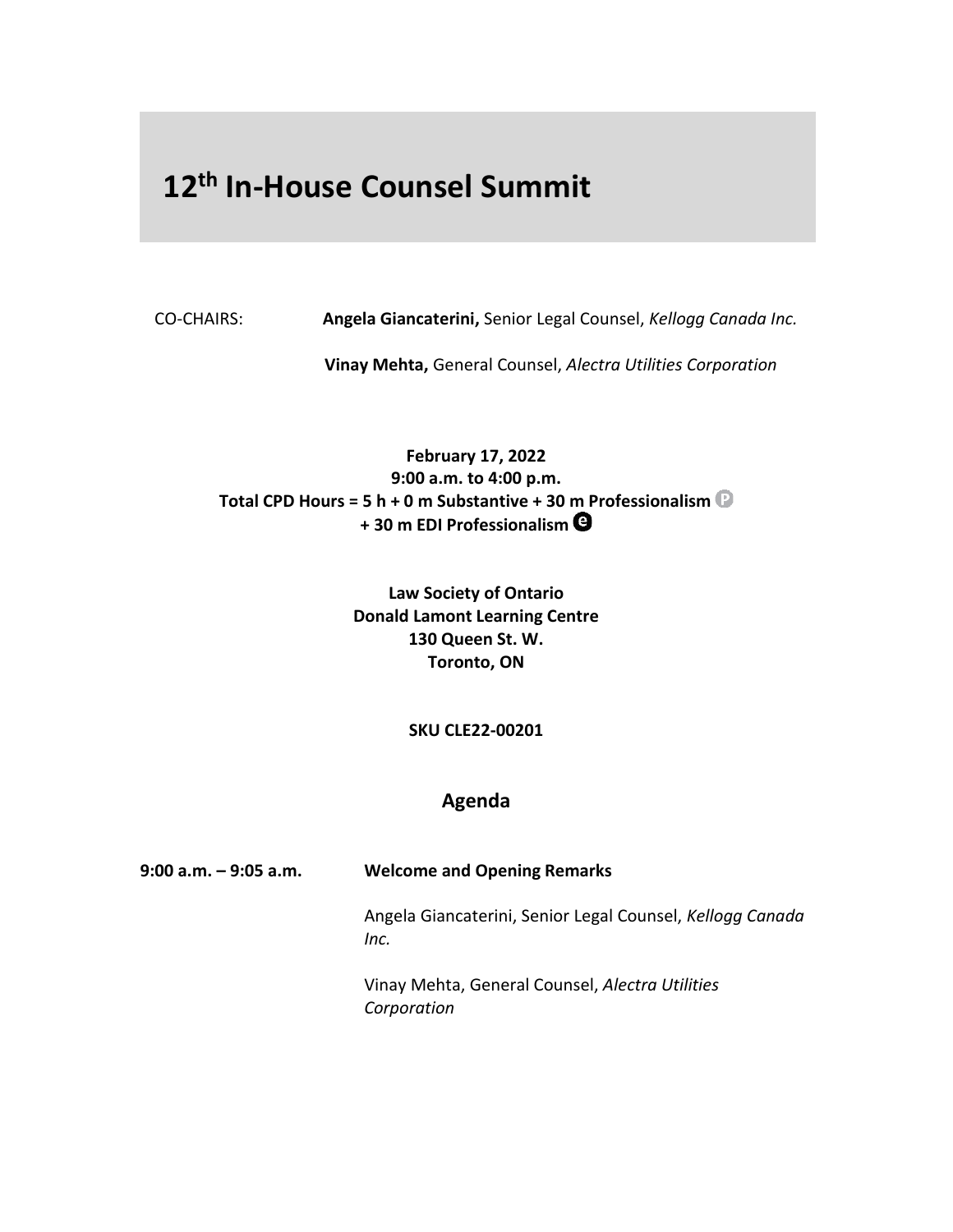## **12 th In-House Counsel Summit**

CO-CHAIRS: **Angela Giancaterini,** Senior Legal Counsel, *Kellogg Canada Inc.*

**Vinay Mehta,** General Counsel, *Alectra Utilities Corporation* 

**February 17, 2022 9:00 a.m. to 4:00 p.m. Total CPD Hours = 5 h + 0 m Substantive + 30 m Professionalism + 30 m EDI Professionalism**

> **Law Society of Ontario Donald Lamont Learning Centre 130 Queen St. W. Toronto, ON**

> > **SKU CLE22-00201**

## **Agenda**

| $9:00$ a.m. $-9:05$ a.m. | <b>Welcome and Opening Remarks</b>                                |
|--------------------------|-------------------------------------------------------------------|
|                          | Angela Giancaterini, Senior Legal Counsel, Kellogg Canada<br>Inc. |

Vinay Mehta, General Counsel, *Alectra Utilities Corporation*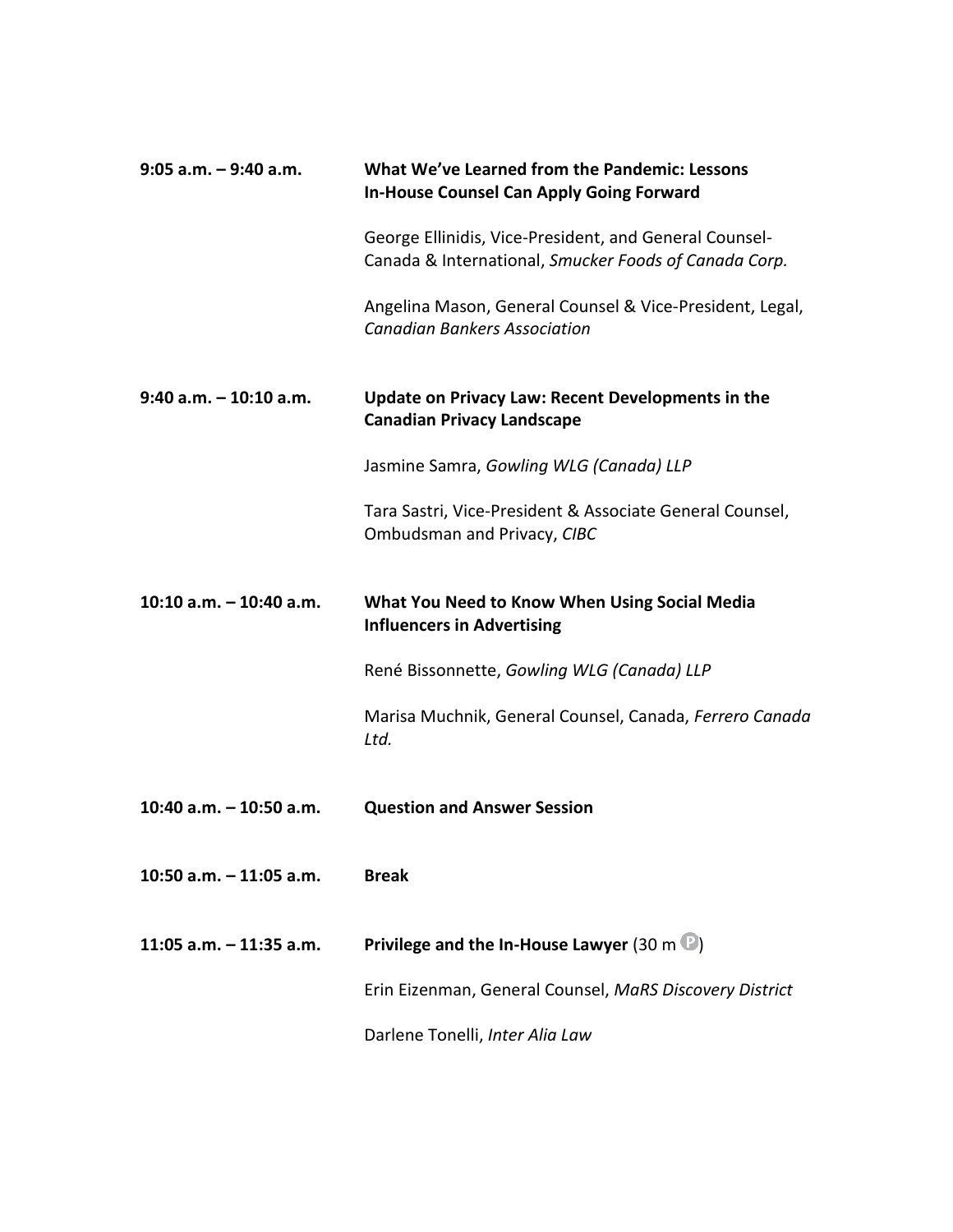| $9:05$ a.m. $-9:40$ a.m.  | What We've Learned from the Pandemic: Lessons<br><b>In-House Counsel Can Apply Going Forward</b>                |
|---------------------------|-----------------------------------------------------------------------------------------------------------------|
|                           | George Ellinidis, Vice-President, and General Counsel-<br>Canada & International, Smucker Foods of Canada Corp. |
|                           | Angelina Mason, General Counsel & Vice-President, Legal,<br><b>Canadian Bankers Association</b>                 |
| $9:40$ a.m. $-10:10$ a.m. | <b>Update on Privacy Law: Recent Developments in the</b><br><b>Canadian Privacy Landscape</b>                   |
|                           | Jasmine Samra, Gowling WLG (Canada) LLP                                                                         |
|                           | Tara Sastri, Vice-President & Associate General Counsel,<br>Ombudsman and Privacy, CIBC                         |
| 10:10 $a.m. - 10:40 a.m.$ | What You Need to Know When Using Social Media<br><b>Influencers in Advertising</b>                              |
|                           | René Bissonnette, Gowling WLG (Canada) LLP                                                                      |
|                           | Marisa Muchnik, General Counsel, Canada, Ferrero Canada<br>Ltd.                                                 |
| 10:40 a.m. $-$ 10:50 a.m. | <b>Question and Answer Session</b>                                                                              |
| 10:50 a.m. $-$ 11:05 a.m. | <b>Break</b>                                                                                                    |
| 11:05 a.m. $-$ 11:35 a.m. | Privilege and the In-House Lawyer (30 m $\mathbb{D}$ )                                                          |
|                           | Erin Eizenman, General Counsel, MaRS Discovery District                                                         |
|                           | Darlene Tonelli, Inter Alia Law                                                                                 |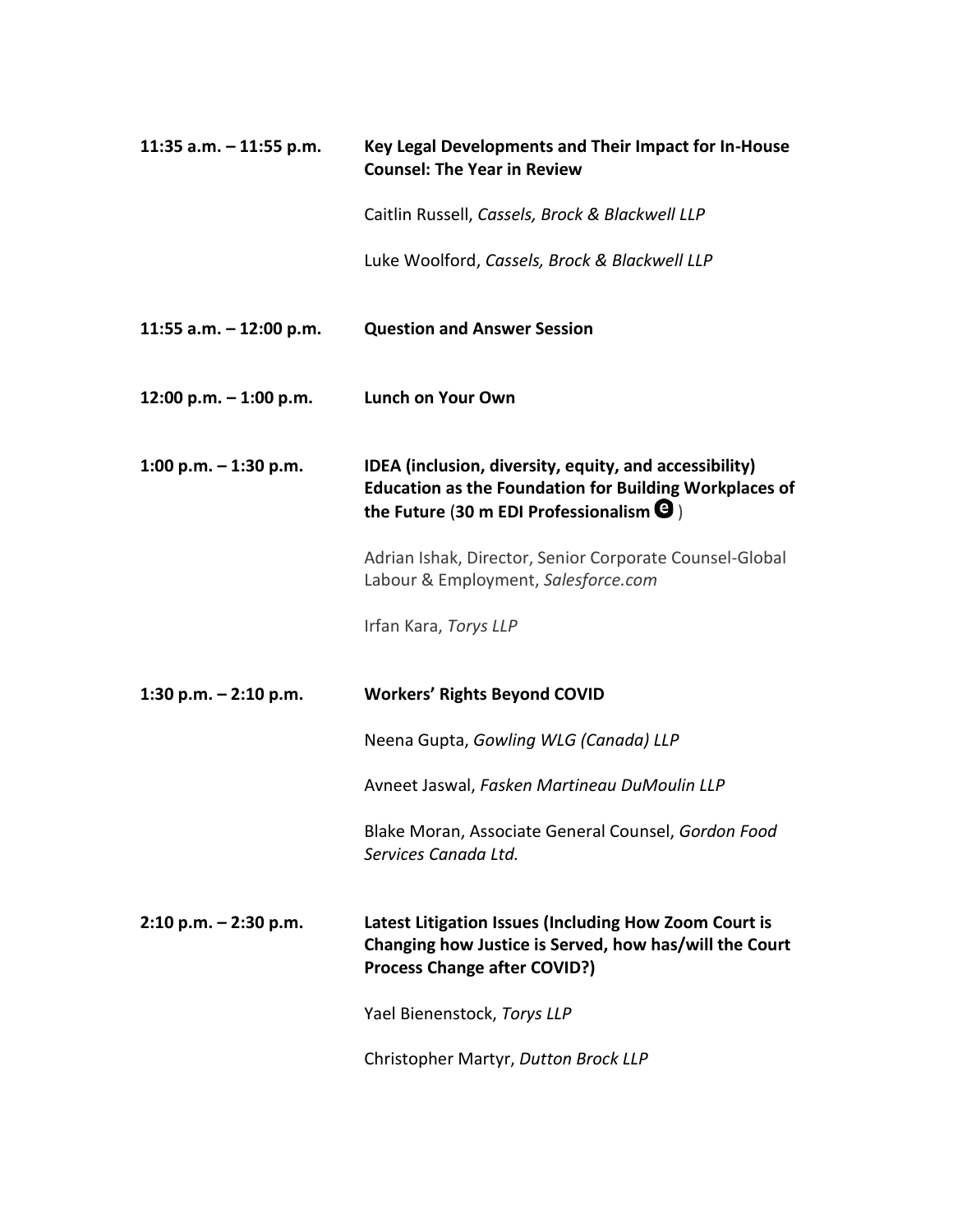| 11:35 a.m. $-$ 11:55 p.m. | Key Legal Developments and Their Impact for In-House<br><b>Counsel: The Year in Review</b>                                                                                         |
|---------------------------|------------------------------------------------------------------------------------------------------------------------------------------------------------------------------------|
|                           | Caitlin Russell, Cassels, Brock & Blackwell LLP                                                                                                                                    |
|                           | Luke Woolford, Cassels, Brock & Blackwell LLP                                                                                                                                      |
| 11:55 a.m. $-$ 12:00 p.m. | <b>Question and Answer Session</b>                                                                                                                                                 |
| 12:00 p.m. $-$ 1:00 p.m.  | <b>Lunch on Your Own</b>                                                                                                                                                           |
| 1:00 p.m. $-$ 1:30 p.m.   | IDEA (inclusion, diversity, equity, and accessibility)<br><b>Education as the Foundation for Building Workplaces of</b><br>the Future (30 m EDI Professionalism $\mathbf \Theta$ ) |
|                           | Adrian Ishak, Director, Senior Corporate Counsel-Global<br>Labour & Employment, Salesforce.com                                                                                     |
|                           | Irfan Kara, Torys LLP                                                                                                                                                              |
| 1:30 p.m. $-$ 2:10 p.m.   | <b>Workers' Rights Beyond COVID</b>                                                                                                                                                |
|                           | Neena Gupta, Gowling WLG (Canada) LLP                                                                                                                                              |
|                           | Avneet Jaswal, Fasken Martineau DuMoulin LLP                                                                                                                                       |
|                           | Blake Moran, Associate General Counsel, Gordon Food<br>Services Canada Ltd.                                                                                                        |
| $2:10$ p.m. $-2:30$ p.m.  | Latest Litigation Issues (Including How Zoom Court is<br>Changing how Justice is Served, how has/will the Court<br><b>Process Change after COVID?)</b>                             |
|                           | Yael Bienenstock, Torys LLP                                                                                                                                                        |
|                           | Christopher Martyr, Dutton Brock LLP                                                                                                                                               |